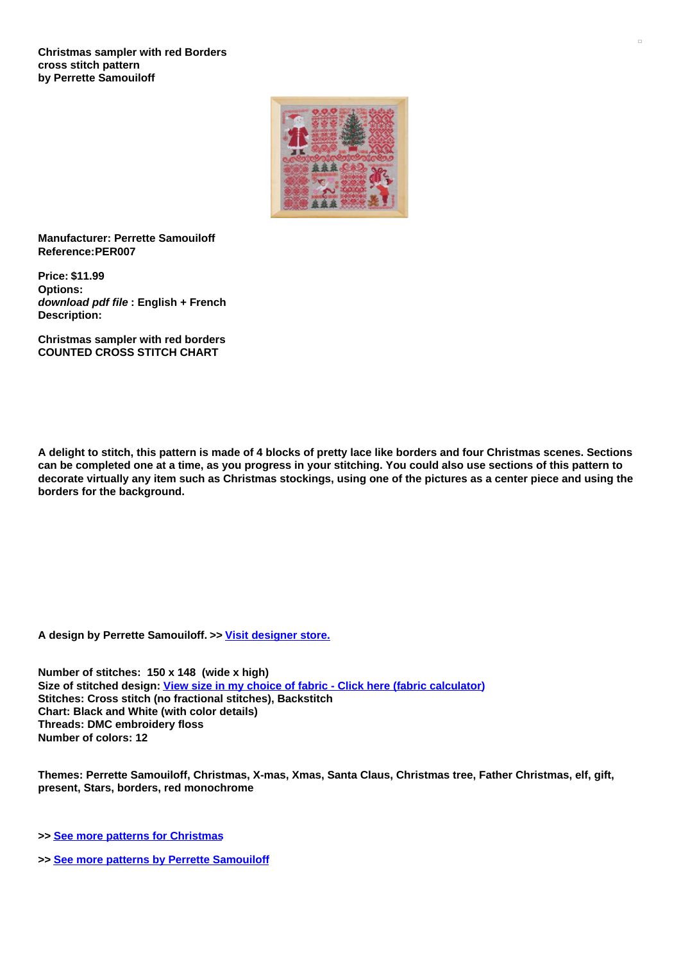

**Manufacturer: Perrette Samouiloff Reference:PER007**

**Price: \$11.99 Options:** *download pdf file* **: English + French Description:**

**Christmas sampler with red borders COUNTED CROSS STITCH CHART**

A delight to stitch, this pattern is made of 4 blocks of pretty lace like borders and four Christmas scenes. Sections can be completed one at a time, as you progress in your stitching. You could also use sections of this pattern to decorate virtually any item such as Christmas stockings, using one of the pictures as a center piece and using the **borders for the background.**

**A design by Perrette Samouiloff. >> [Visit](https://www.creativepoppypatterns.com/perrette-samouiloff-xsl-296_299.html) [designer](javascript:void(0);/*1198153930515*/) store.**

**Number of stitches: 150 x 148 (wide x high) Size of stitched design: View size in my choice of fabric - Click here (fabric [calculator](https://www.creativepoppypatterns.com/calculette-de-toile.php?products_id=1044&w=150&h=148)) Stitches: Cross stitch (no fractional stitches), Backstitch Chart: Black and White (with color details) Threads: DMC embroidery floss Number of colors: 12**

**Themes: Perrette Samouiloff, Christmas, X-mas, Xmas, Santa Claus, Christmas tree, Father Christmas, elf, gift, present, Stars, borders, red monochrome**

**>> See more patterns for [Christmas](https://www.creativepoppypatterns.com/celebrations-holidays-seasons-celebrations-holiday-season-xsl-214_228.html)**

**>> See more patterns by Perrette [Samouiloff](https://www.creativepoppypatterns.com/perrette-samouiloff-xsl-296_299.html)**